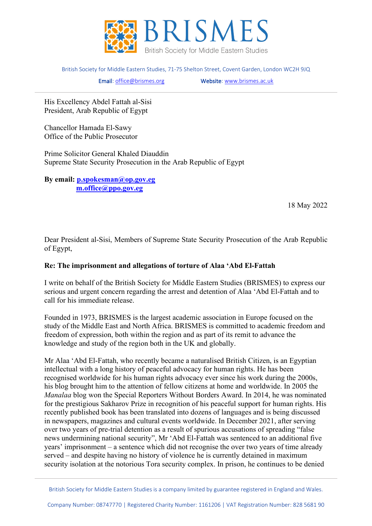

British Society for Middle Eastern Studies, 71-75 Shelton Street, Covent Garden, London WC2H 9JQ

Email[: office@brismes.org](mailto:office@brismes.org) Website[: www.brismes.ac.uk](http://www.brismes.ac.uk/) 

His Excellency Abdel Fattah al-Sisi President, Arab Republic of Egypt

Chancellor Hamada El-Sawy Office of the Public Prosecutor

Prime Solicitor General Khaled Diauddin Supreme State Security Prosecution in the Arab Republic of Egypt

**By email: [p.spokesman@op.gov.eg](mailto:p.spokesman@op.gov.eg) [m.office@ppo.gov.eg](mailto:m.office@ppo.gov.eg)**

18 May 2022

Dear President al-Sisi, Members of Supreme State Security Prosecution of the Arab Republic of Egypt,

## **Re: The imprisonment and allegations of torture of Alaa 'Abd El-Fattah**

I write on behalf of the British Society for Middle Eastern Studies (BRISMES) to express our serious and urgent concern regarding the arrest and detention of Alaa 'Abd El-Fattah and to call for his immediate release.

Founded in 1973, BRISMES is the largest academic association in Europe focused on the study of the Middle East and North Africa. BRISMES is committed to academic freedom and freedom of expression, both within the region and as part of its remit to advance the knowledge and study of the region both in the UK and globally.

Mr Alaa 'Abd El-Fattah, who recently became a naturalised British Citizen, is an Egyptian intellectual with a long history of peaceful advocacy for human rights. He has been recognised worldwide for his human rights advocacy ever since his work during the 2000s, his blog brought him to the attention of fellow citizens at home and worldwide. In 2005 the *Manalaa* blog won the Special Reporters Without Borders Award. In 2014, he was nominated for the prestigious Sakharov Prize in recognition of his peaceful support for human rights. His recently published book has been translated into dozens of languages and is being discussed in newspapers, magazines and cultural events worldwide. In December 2021, after serving over two years of pre-trial detention as a result of spurious accusations of spreading "false news undermining national security", Mr 'Abd El-Fattah was sentenced to an additional five years' imprisonment – a sentence which did not recognise the over two years of time already served – and despite having no history of violence he is currently detained in maximum security isolation at the notorious Tora security complex. In prison, he continues to be denied

British Society for Middle Eastern Studies is a company limited by guarantee registered in England and Wales.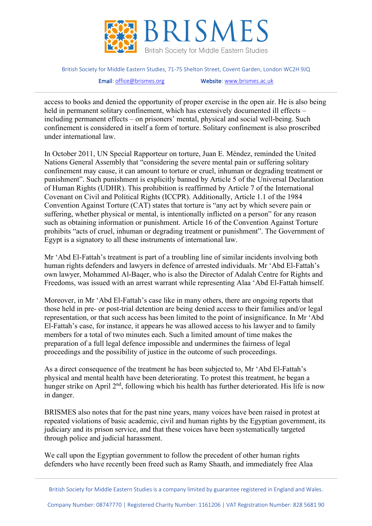

British Society for Middle Eastern Studies, 71-75 Shelton Street, Covent Garden, London WC2H 9JQ

Email[: office@brismes.org](mailto:office@brismes.org) Website[: www.brismes.ac.uk](http://www.brismes.ac.uk/) 

access to books and denied the opportunity of proper exercise in the open air. He is also being held in permanent solitary confinement, which has extensively documented ill effects – including permanent effects – on prisoners' mental, physical and social well-being. Such confinement is considered in itself a form of torture. Solitary confinement is also proscribed under international law.

In October 2011, UN Special Rapporteur on torture, Juan E. Méndez, reminded the United Nations General Assembly that "considering the severe mental pain or suffering solitary confinement may cause, it can amount to torture or cruel, inhuman or degrading treatment or punishment". Such punishment is explicitly banned by Article 5 of the Universal Declaration of Human Rights (UDHR). This prohibition is reaffirmed by Article 7 of the International Covenant on Civil and Political Rights (ICCPR). Additionally, Article 1.1 of the 1984 Convention Against Torture (CAT) states that torture is "any act by which severe pain or suffering, whether physical or mental, is intentionally inflicted on a person" for any reason such as obtaining information or punishment. Article 16 of the Convention Against Torture prohibits "acts of cruel, inhuman or degrading treatment or punishment". The Government of Egypt is a signatory to all these instruments of international law.

Mr 'Abd El-Fattah's treatment is part of a troubling line of similar incidents involving both human rights defenders and lawyers in defence of arrested individuals. Mr 'Abd El-Fattah's own lawyer, Mohammed Al-Baqer, who is also the Director of Adalah Centre for Rights and Freedoms, was issued with an arrest warrant while representing Alaa 'Abd El-Fattah himself.

Moreover, in Mr 'Abd El-Fattah's case like in many others, there are ongoing reports that those held in pre- or post-trial detention are being denied access to their families and/or legal representation, or that such access has been limited to the point of insignificance. In Mr 'Abd El-Fattah's case, for instance, it appears he was allowed access to his lawyer and to family members for a total of two minutes each. Such a limited amount of time makes the preparation of a full legal defence impossible and undermines the fairness of legal proceedings and the possibility of justice in the outcome of such proceedings.

As a direct consequence of the treatment he has been subjected to, Mr 'Abd El-Fattah's physical and mental health have been deteriorating. To protest this treatment, he began a hunger strike on April 2<sup>nd</sup>, following which his health has further deteriorated. His life is now in danger.

BRISMES also notes that for the past nine years, many voices have been raised in protest at repeated violations of basic academic, civil and human rights by the Egyptian government, its judiciary and its prison service, and that these voices have been systematically targeted through police and judicial harassment.

We call upon the Egyptian government to follow the precedent of other human rights defenders who have recently been freed such as Ramy Shaath, and immediately free Alaa

British Society for Middle Eastern Studies is a company limited by guarantee registered in England and Wales.